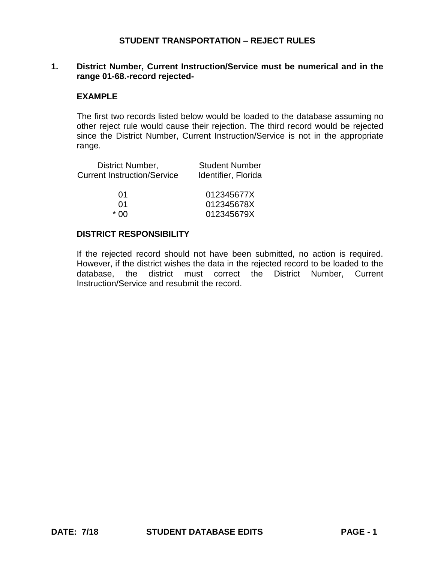### **1. District Number, Current Instruction/Service must be numerical and in the range 01-68.-record rejected-**

#### **EXAMPLE**

The first two records listed below would be loaded to the database assuming no other reject rule would cause their rejection. The third record would be rejected since the District Number, Current Instruction/Service is not in the appropriate range.

| District Number,                   | <b>Student Number</b> |
|------------------------------------|-----------------------|
| <b>Current Instruction/Service</b> | Identifier, Florida   |
|                                    |                       |
| 01                                 | 012345677X            |
| 01                                 | 012345678X            |
| * በበ                               | 012345679X            |

## **DISTRICT RESPONSIBILITY**

If the rejected record should not have been submitted, no action is required. However, if the district wishes the data in the rejected record to be loaded to the database, the district must correct the District Number, Current Instruction/Service and resubmit the record.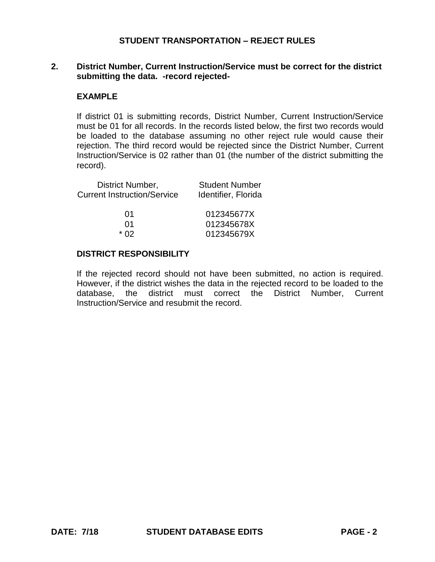## **2. District Number, Current Instruction/Service must be correct for the district submitting the data. -record rejected-**

#### **EXAMPLE**

If district 01 is submitting records, District Number, Current Instruction/Service must be 01 for all records. In the records listed below, the first two records would be loaded to the database assuming no other reject rule would cause their rejection. The third record would be rejected since the District Number, Current Instruction/Service is 02 rather than 01 (the number of the district submitting the record).

| District Number,                   | <b>Student Number</b> |
|------------------------------------|-----------------------|
| <b>Current Instruction/Service</b> | Identifier, Florida   |
|                                    |                       |
| 01                                 | 012345677X            |
| በ1                                 | 012345678X            |
| * በ2                               | 012345679X            |
|                                    |                       |

#### **DISTRICT RESPONSIBILITY**

If the rejected record should not have been submitted, no action is required. However, if the district wishes the data in the rejected record to be loaded to the database, the district must correct the District Number, Current Instruction/Service and resubmit the record.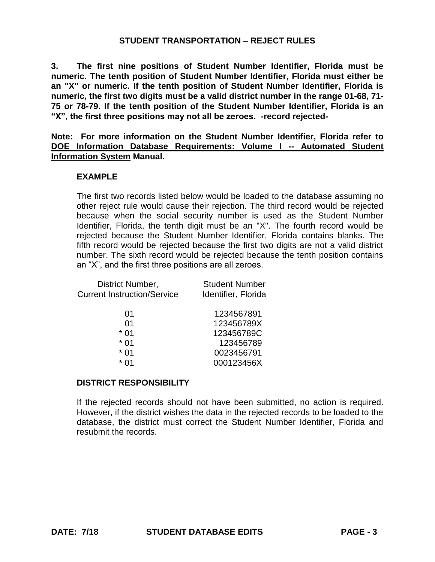**3. The first nine positions of Student Number Identifier, Florida must be numeric. The tenth position of Student Number Identifier, Florida must either be an "X" or numeric. If the tenth position of Student Number Identifier, Florida is numeric, the first two digits must be a valid district number in the range 01-68, 71- 75 or 78-79. If the tenth position of the Student Number Identifier, Florida is an "X", the first three positions may not all be zeroes. -record rejected-**

**Note: For more information on the Student Number Identifier, Florida refer to DOE Information Database Requirements: Volume I -- Automated Student Information System Manual.**

### **EXAMPLE**

The first two records listed below would be loaded to the database assuming no other reject rule would cause their rejection. The third record would be rejected because when the social security number is used as the Student Number Identifier, Florida, the tenth digit must be an "X". The fourth record would be rejected because the Student Number Identifier, Florida contains blanks. The fifth record would be rejected because the first two digits are not a valid district number. The sixth record would be rejected because the tenth position contains an "X", and the first three positions are all zeroes.

| District Number,                   | <b>Student Number</b> |
|------------------------------------|-----------------------|
| <b>Current Instruction/Service</b> | Identifier, Florida   |
|                                    |                       |
| 01                                 | 1234567891            |
| 01                                 | 123456789X            |
| * በ1                               | 123456789C            |
| * 01                               | 123456789             |
| * 01                               | 0023456791            |
| $*$ 01                             | 000123456X            |
|                                    |                       |

# **DISTRICT RESPONSIBILITY**

If the rejected records should not have been submitted, no action is required. However, if the district wishes the data in the rejected records to be loaded to the database, the district must correct the Student Number Identifier, Florida and resubmit the records.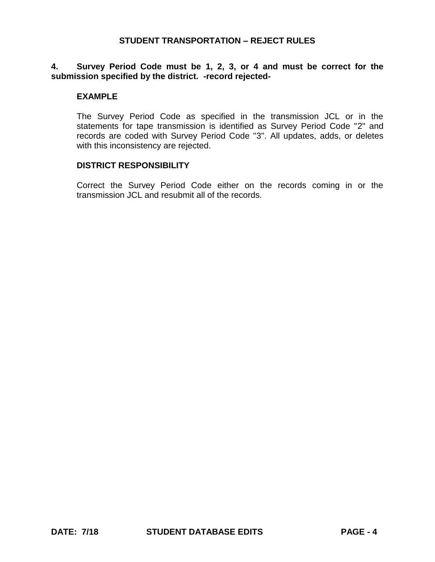## **4. Survey Period Code must be 1, 2, 3, or 4 and must be correct for the submission specified by the district. -record rejected-**

#### **EXAMPLE**

The Survey Period Code as specified in the transmission JCL or in the statements for tape transmission is identified as Survey Period Code "2" and records are coded with Survey Period Code "3". All updates, adds, or deletes with this inconsistency are rejected.

#### **DISTRICT RESPONSIBILITY**

Correct the Survey Period Code either on the records coming in or the transmission JCL and resubmit all of the records.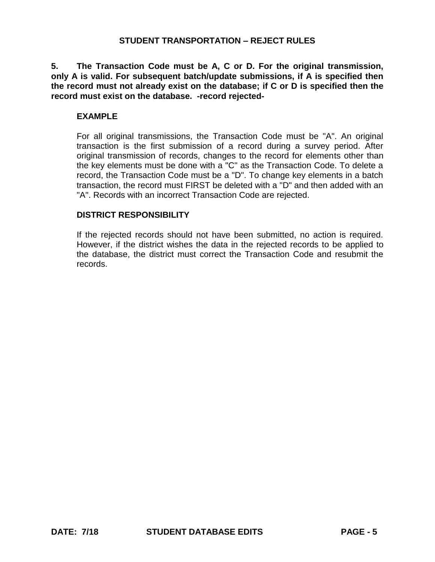**5. The Transaction Code must be A, C or D. For the original transmission, only A is valid. For subsequent batch/update submissions, if A is specified then the record must not already exist on the database; if C or D is specified then the record must exist on the database. -record rejected-**

## **EXAMPLE**

For all original transmissions, the Transaction Code must be "A". An original transaction is the first submission of a record during a survey period. After original transmission of records, changes to the record for elements other than the key elements must be done with a "C" as the Transaction Code. To delete a record, the Transaction Code must be a "D". To change key elements in a batch transaction, the record must FIRST be deleted with a "D" and then added with an "A". Records with an incorrect Transaction Code are rejected.

### **DISTRICT RESPONSIBILITY**

If the rejected records should not have been submitted, no action is required. However, if the district wishes the data in the rejected records to be applied to the database, the district must correct the Transaction Code and resubmit the records.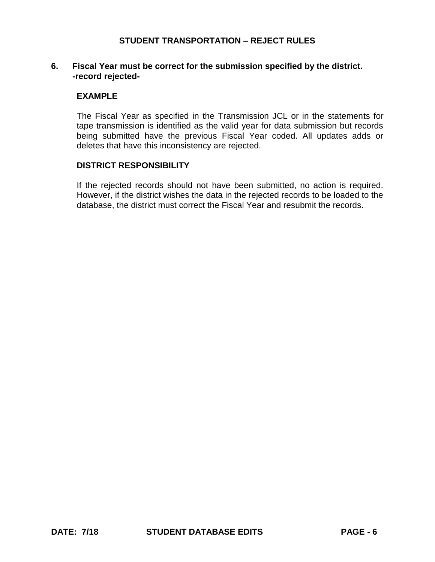## **6. Fiscal Year must be correct for the submission specified by the district. -record rejected-**

### **EXAMPLE**

The Fiscal Year as specified in the Transmission JCL or in the statements for tape transmission is identified as the valid year for data submission but records being submitted have the previous Fiscal Year coded. All updates adds or deletes that have this inconsistency are rejected.

#### **DISTRICT RESPONSIBILITY**

If the rejected records should not have been submitted, no action is required. However, if the district wishes the data in the rejected records to be loaded to the database, the district must correct the Fiscal Year and resubmit the records.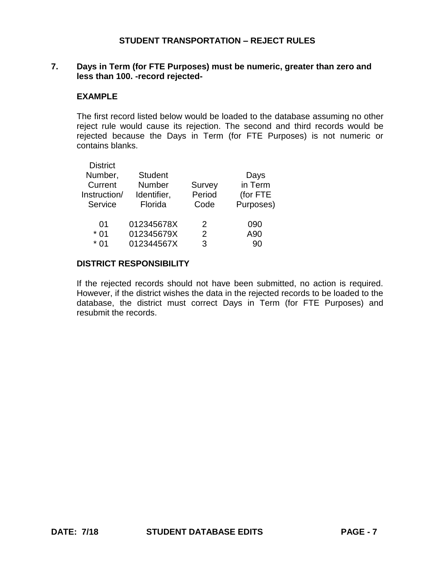## **7. Days in Term (for FTE Purposes) must be numeric, greater than zero and less than 100. -record rejected-**

### **EXAMPLE**

The first record listed below would be loaded to the database assuming no other reject rule would cause its rejection. The second and third records would be rejected because the Days in Term (for FTE Purposes) is not numeric or contains blanks.

| <b>District</b> |                |        |           |
|-----------------|----------------|--------|-----------|
| Number,         | <b>Student</b> |        | Days      |
| Current         | Number         | Survey | in Term   |
| Instruction/    | Identifier,    | Period | (for FTE  |
| Service         | Florida        | Code   | Purposes) |
|                 |                |        |           |
| 01              | 012345678X     | 2      | 090       |
| $*01$           | 012345679X     | 2      | A90       |
| $*$ 01          | 012344567X     | 3      | 90        |
|                 |                |        |           |

#### **DISTRICT RESPONSIBILITY**

If the rejected records should not have been submitted, no action is required. However, if the district wishes the data in the rejected records to be loaded to the database, the district must correct Days in Term (for FTE Purposes) and resubmit the records.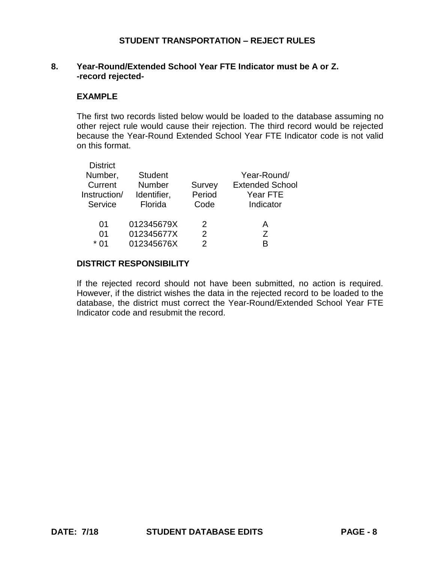# **8. Year-Round/Extended School Year FTE Indicator must be A or Z. -record rejected-**

### **EXAMPLE**

The first two records listed below would be loaded to the database assuming no other reject rule would cause their rejection. The third record would be rejected because the Year-Round Extended School Year FTE Indicator code is not valid on this format.

| <b>District</b><br>Number,<br>Current<br>Instruction/<br>Service | <b>Student</b><br><b>Number</b><br>Identifier,<br>Florida | Survey<br>Period<br>Code | Year-Round/<br><b>Extended School</b><br>Year FTE<br>Indicator |
|------------------------------------------------------------------|-----------------------------------------------------------|--------------------------|----------------------------------------------------------------|
| 01<br>$^{\circ}$                                                 | 012345679X<br>012345677X                                  | 2<br>$\mathcal{P}$       | А<br>7                                                         |
| $*$ 01                                                           | 012345676X                                                | 2                        | R                                                              |

#### **DISTRICT RESPONSIBILITY**

If the rejected record should not have been submitted, no action is required. However, if the district wishes the data in the rejected record to be loaded to the database, the district must correct the Year-Round/Extended School Year FTE Indicator code and resubmit the record.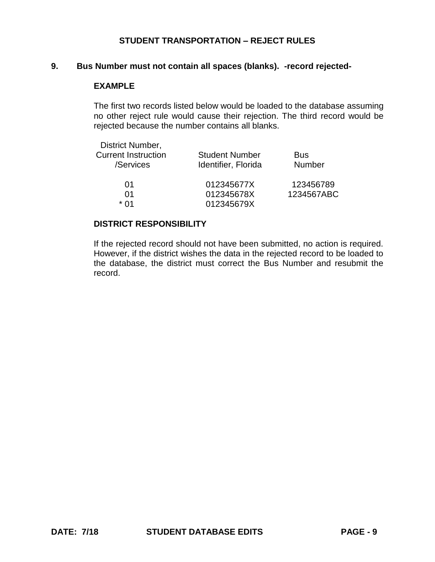#### **9. Bus Number must not contain all spaces (blanks). -record rejected-**

## **EXAMPLE**

The first two records listed below would be loaded to the database assuming no other reject rule would cause their rejection. The third record would be rejected because the number contains all blanks.

| District Number,           |                       |               |
|----------------------------|-----------------------|---------------|
| <b>Current Instruction</b> | <b>Student Number</b> | <b>Bus</b>    |
| /Services                  | Identifier, Florida   | <b>Number</b> |
| 01                         | 012345677X            | 123456789     |
| 01                         | 012345678X            | 1234567ABC    |
| * በ1                       | 012345679X            |               |

# **DISTRICT RESPONSIBILITY**

If the rejected record should not have been submitted, no action is required. However, if the district wishes the data in the rejected record to be loaded to the database, the district must correct the Bus Number and resubmit the record.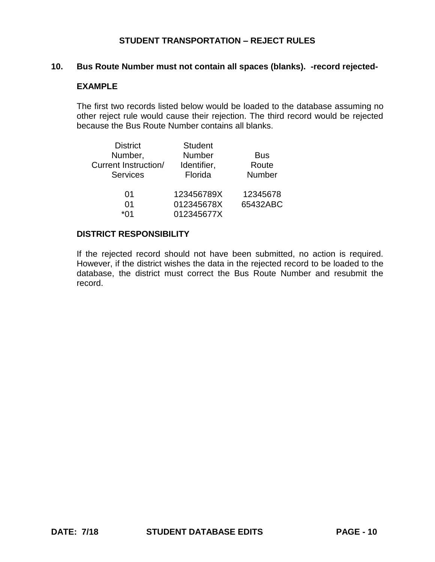## **10. Bus Route Number must not contain all spaces (blanks). -record rejected-**

# **EXAMPLE**

The first two records listed below would be loaded to the database assuming no other reject rule would cause their rejection. The third record would be rejected because the Bus Route Number contains all blanks.

| <b>District</b>      | <b>Student</b> |               |
|----------------------|----------------|---------------|
| Number,              | Number         | <b>Bus</b>    |
| Current Instruction/ | Identifier,    | Route         |
| <b>Services</b>      | Florida        | <b>Number</b> |
| 01                   | 123456789X     | 12345678      |
| 01                   | 012345678X     | 65432ABC      |
| *Λ1                  | 012345677X     |               |

### **DISTRICT RESPONSIBILITY**

If the rejected record should not have been submitted, no action is required. However, if the district wishes the data in the rejected record to be loaded to the database, the district must correct the Bus Route Number and resubmit the record.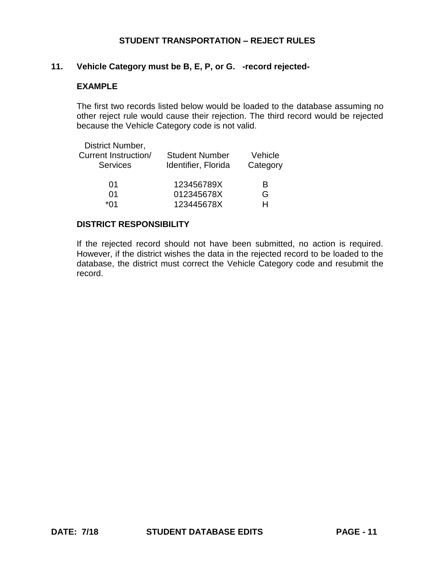### **11. Vehicle Category must be B, E, P, or G. -record rejected-**

## **EXAMPLE**

The first two records listed below would be loaded to the database assuming no other reject rule would cause their rejection. The third record would be rejected because the Vehicle Category code is not valid.

| <b>Student Number</b><br>Identifier, Florida | Vehicle<br>Category |
|----------------------------------------------|---------------------|
| 123456789X                                   | R                   |
| 012345678X                                   | G                   |
| 123445678X                                   | H                   |
|                                              |                     |

### **DISTRICT RESPONSIBILITY**

If the rejected record should not have been submitted, no action is required. However, if the district wishes the data in the rejected record to be loaded to the database, the district must correct the Vehicle Category code and resubmit the record.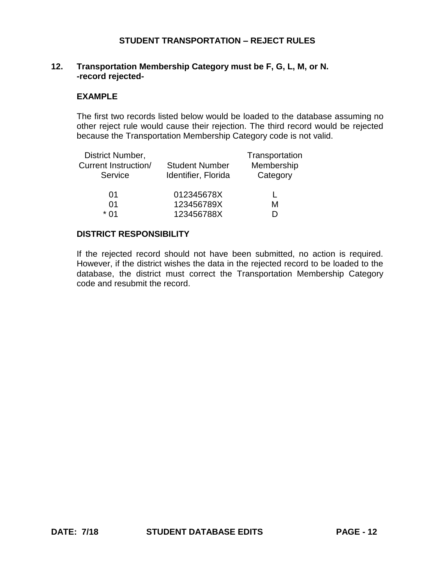# **12. Transportation Membership Category must be F, G, L, M, or N. -record rejected-**

### **EXAMPLE**

The first two records listed below would be loaded to the database assuming no other reject rule would cause their rejection. The third record would be rejected because the Transportation Membership Category code is not valid.

| District Number,            |                       | Transportation |
|-----------------------------|-----------------------|----------------|
| <b>Current Instruction/</b> | <b>Student Number</b> | Membership     |
| Service                     | Identifier, Florida   | Category       |
|                             |                       |                |
| 01                          | 012345678X            |                |
| 01                          | 123456789X            | м              |
| * በ1                        | 123456788X            |                |

# **DISTRICT RESPONSIBILITY**

If the rejected record should not have been submitted, no action is required. However, if the district wishes the data in the rejected record to be loaded to the database, the district must correct the Transportation Membership Category code and resubmit the record.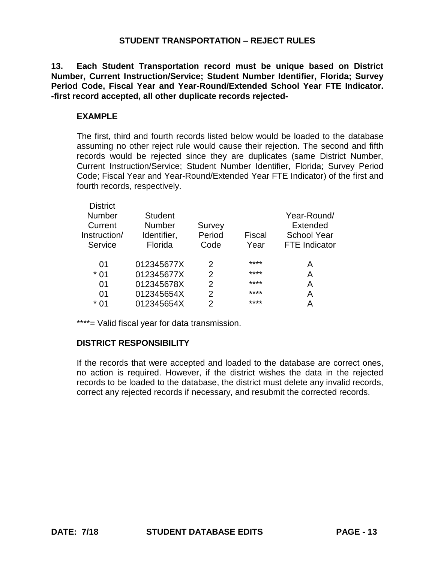**13. Each Student Transportation record must be unique based on District Number, Current Instruction/Service; Student Number Identifier, Florida; Survey Period Code, Fiscal Year and Year-Round/Extended School Year FTE Indicator. -first record accepted, all other duplicate records rejected-**

## **EXAMPLE**

The first, third and fourth records listed below would be loaded to the database assuming no other reject rule would cause their rejection. The second and fifth records would be rejected since they are duplicates (same District Number, Current Instruction/Service; Student Number Identifier, Florida; Survey Period Code; Fiscal Year and Year-Round/Extended Year FTE Indicator) of the first and fourth records, respectively.

| <b>District</b> |                |                |               |                      |
|-----------------|----------------|----------------|---------------|----------------------|
| <b>Number</b>   | <b>Student</b> |                |               | Year-Round/          |
| Current         | Number         | Survey         |               | Extended             |
| Instruction/    | Identifier,    | Period         | <b>Fiscal</b> | <b>School Year</b>   |
| Service         | Florida        | Code           | Year          | <b>FTE</b> Indicator |
| 01              | 012345677X     | 2              | ****          | А                    |
| * 01            | 012345677X     | 2              | ****          | A                    |
| 01              | 012345678X     | $\overline{2}$ | ****          | А                    |
| 01              | 012345654X     | 2              | ****          | Α                    |
| * በ1            | 012345654X     | 2              | ****          | А                    |
|                 |                |                |               |                      |

\*\*\*\*= Valid fiscal year for data transmission.

#### **DISTRICT RESPONSIBILITY**

If the records that were accepted and loaded to the database are correct ones, no action is required. However, if the district wishes the data in the rejected records to be loaded to the database, the district must delete any invalid records, correct any rejected records if necessary, and resubmit the corrected records.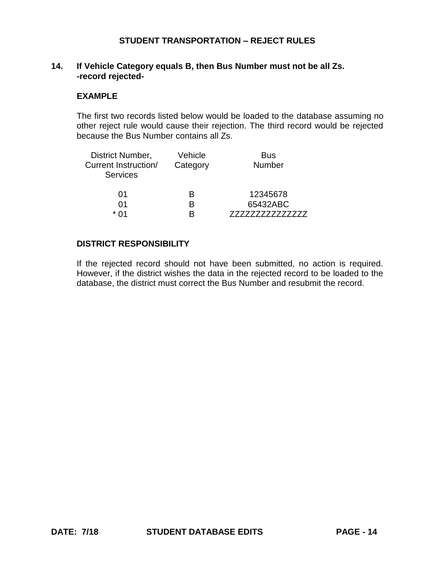### **14. If Vehicle Category equals B, then Bus Number must not be all Zs. -record rejected-**

#### **EXAMPLE**

The first two records listed below would be loaded to the database assuming no other reject rule would cause their rejection. The third record would be rejected because the Bus Number contains all Zs.

| District Number,<br>Current Instruction/<br><b>Services</b> | Vehicle<br>Category | <b>Bus</b><br><b>Number</b> |
|-------------------------------------------------------------|---------------------|-----------------------------|
| 01                                                          | R                   | 12345678                    |
| በ1                                                          | R                   | 65432ABC                    |
| * በ1                                                        |                     |                             |

## **DISTRICT RESPONSIBILITY**

If the rejected record should not have been submitted, no action is required. However, if the district wishes the data in the rejected record to be loaded to the database, the district must correct the Bus Number and resubmit the record.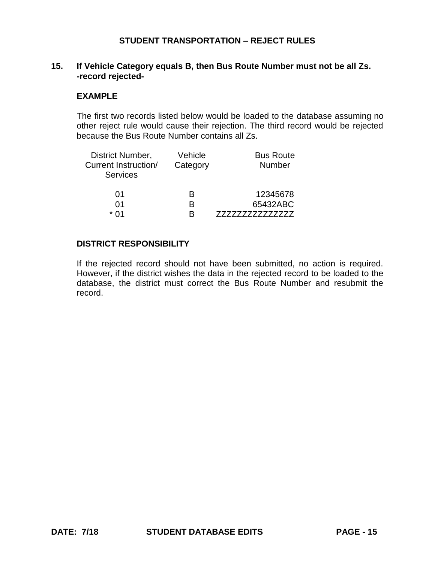## **15. If Vehicle Category equals B, then Bus Route Number must not be all Zs. -record rejected-**

#### **EXAMPLE**

The first two records listed below would be loaded to the database assuming no other reject rule would cause their rejection. The third record would be rejected because the Bus Route Number contains all Zs.

| District Number,<br><b>Current Instruction/</b><br><b>Services</b> | Vehicle<br>Category | <b>Bus Route</b><br><b>Number</b> |
|--------------------------------------------------------------------|---------------------|-----------------------------------|
| 01                                                                 | R                   | 12345678                          |
| 01<br>* በ1                                                         | R<br>R              | 65432ABC                          |
|                                                                    |                     |                                   |

# **DISTRICT RESPONSIBILITY**

If the rejected record should not have been submitted, no action is required. However, if the district wishes the data in the rejected record to be loaded to the database, the district must correct the Bus Route Number and resubmit the record.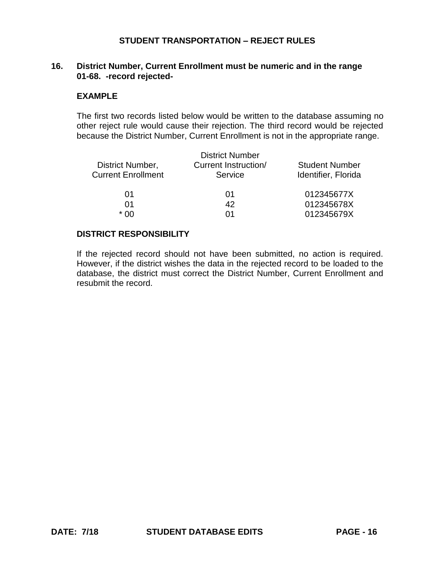## **16. District Number, Current Enrollment must be numeric and in the range 01-68. -record rejected-**

#### **EXAMPLE**

The first two records listed below would be written to the database assuming no other reject rule would cause their rejection. The third record would be rejected because the District Number, Current Enrollment is not in the appropriate range.

| <b>Student Number</b> |
|-----------------------|
| Identifier, Florida   |
| 012345677X            |
| 012345678X            |
| 012345679X            |
|                       |

#### **DISTRICT RESPONSIBILITY**

If the rejected record should not have been submitted, no action is required. However, if the district wishes the data in the rejected record to be loaded to the database, the district must correct the District Number, Current Enrollment and resubmit the record.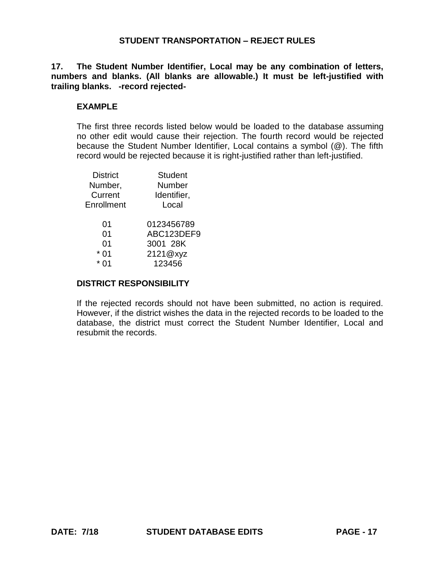**17. The Student Number Identifier, Local may be any combination of letters, numbers and blanks. (All blanks are allowable.) It must be left-justified with trailing blanks. -record rejected-**

# **EXAMPLE**

The first three records listed below would be loaded to the database assuming no other edit would cause their rejection. The fourth record would be rejected because the Student Number Identifier, Local contains a symbol (@). The fifth record would be rejected because it is right-justified rather than left-justified.

| <b>District</b> | <b>Student</b> |
|-----------------|----------------|
| Number,         | Number         |
| Current         | Identifier,    |
| Enrollment      | Local          |
| 01              | 0123456789     |
| 01              | ABC123DEF9     |
| 01              | 3001 28K       |
| 0 <sub>1</sub>  | 2121@xyz       |
|                 | 123456         |
|                 |                |

#### **DISTRICT RESPONSIBILITY**

If the rejected records should not have been submitted, no action is required. However, if the district wishes the data in the rejected records to be loaded to the database, the district must correct the Student Number Identifier, Local and resubmit the records.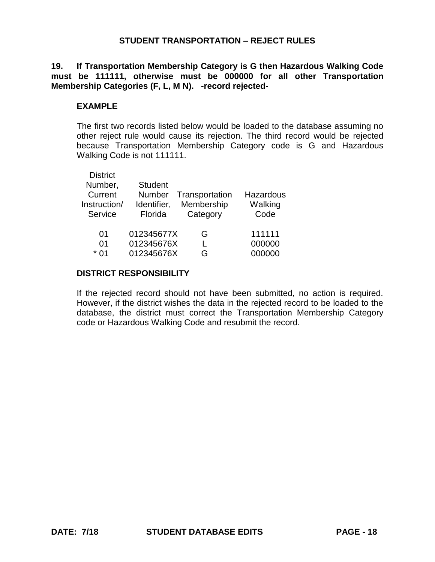**19. If Transportation Membership Category is G then Hazardous Walking Code must be 111111, otherwise must be 000000 for all other Transportation Membership Categories (F, L, M N). -record rejected-**

#### **EXAMPLE**

The first two records listed below would be loaded to the database assuming no other reject rule would cause its rejection. The third record would be rejected because Transportation Membership Category code is G and Hazardous Walking Code is not 111111.

| <b>District</b> |                |                |           |
|-----------------|----------------|----------------|-----------|
| Number,         | <b>Student</b> |                |           |
| Current         | <b>Number</b>  | Transportation | Hazardous |
| Instruction/    | Identifier,    | Membership     | Walking   |
| Service         | Florida        | Category       | Code      |
|                 |                |                |           |
| 01              | 012345677X     | G              | 111111    |
| 01              | 012345676X     |                | 000000    |
| * በ1            | 012345676X     | G              | 000000    |
|                 |                |                |           |

### **DISTRICT RESPONSIBILITY**

If the rejected record should not have been submitted, no action is required. However, if the district wishes the data in the rejected record to be loaded to the database, the district must correct the Transportation Membership Category code or Hazardous Walking Code and resubmit the record.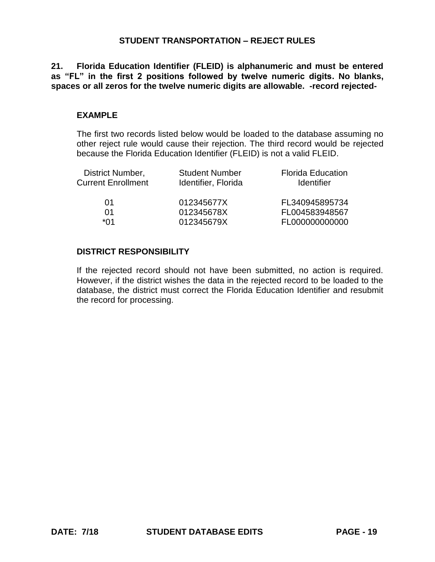**21. Florida Education Identifier (FLEID) is alphanumeric and must be entered as "FL" in the first 2 positions followed by twelve numeric digits. No blanks, spaces or all zeros for the twelve numeric digits are allowable. -record rejected-**

#### **EXAMPLE**

The first two records listed below would be loaded to the database assuming no other reject rule would cause their rejection. The third record would be rejected because the Florida Education Identifier (FLEID) is not a valid FLEID.

| District Number,          | <b>Student Number</b> | <b>Florida Education</b> |
|---------------------------|-----------------------|--------------------------|
| <b>Current Enrollment</b> | Identifier, Florida   | <b>Identifier</b>        |
| 01                        | 012345677X            | FL340945895734           |
| 01                        | 012345678X            | FL004583948567           |
| *Λ1                       | 012345679X            | FL000000000000           |

### **DISTRICT RESPONSIBILITY**

If the rejected record should not have been submitted, no action is required. However, if the district wishes the data in the rejected record to be loaded to the database, the district must correct the Florida Education Identifier and resubmit the record for processing.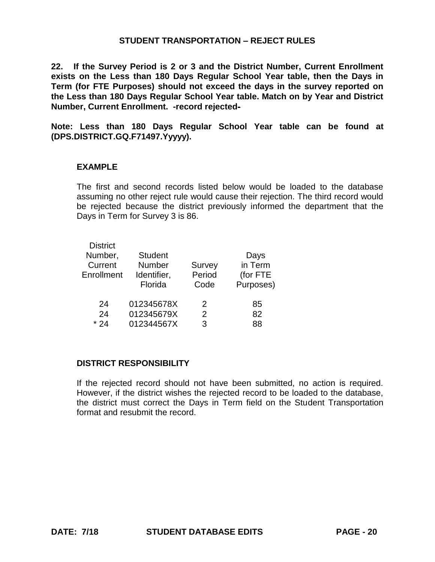**22. If the Survey Period is 2 or 3 and the District Number, Current Enrollment exists on the Less than 180 Days Regular School Year table, then the Days in Term (for FTE Purposes) should not exceed the days in the survey reported on the Less than 180 Days Regular School Year table. Match on by Year and District Number, Current Enrollment. -record rejected-**

**Note: Less than 180 Days Regular School Year table can be found at (DPS.DISTRICT.GQ.F71497.Yyyyy).**

#### **EXAMPLE**

The first and second records listed below would be loaded to the database assuming no other reject rule would cause their rejection. The third record would be rejected because the district previously informed the department that the Days in Term for Survey 3 is 86.

| <b>District</b><br>Number,<br>Current<br>Enrollment | <b>Student</b><br>Number<br>Identifier,<br>Florida | Survey<br>Period<br>Code | Days<br>in Term<br>(for FTE<br>Purposes) |
|-----------------------------------------------------|----------------------------------------------------|--------------------------|------------------------------------------|
| 24                                                  | 012345678X                                         | 2                        | 85                                       |
| 24                                                  | 012345679X                                         | 2                        | 82                                       |
| $*24$                                               | 012344567X                                         | 3                        | 88                                       |

### **DISTRICT RESPONSIBILITY**

If the rejected record should not have been submitted, no action is required. However, if the district wishes the rejected record to be loaded to the database, the district must correct the Days in Term field on the Student Transportation format and resubmit the record.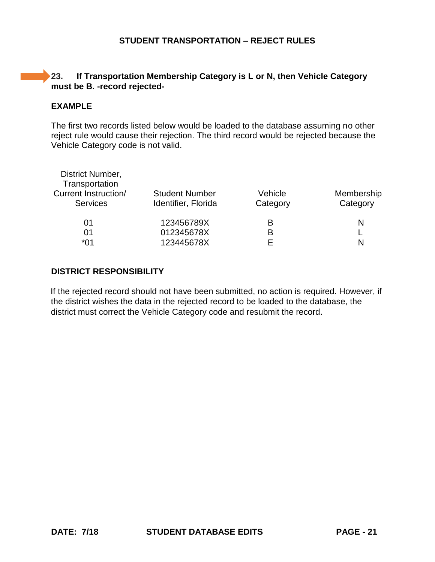# **23. If Transportation Membership Category is L or N, then Vehicle Category must be B. -record rejected-**

## **EXAMPLE**

The first two records listed below would be loaded to the database assuming no other reject rule would cause their rejection. The third record would be rejected because the Vehicle Category code is not valid.

| District Number,<br>Transportation |                       |          |            |
|------------------------------------|-----------------------|----------|------------|
| Current Instruction/               | <b>Student Number</b> | Vehicle  | Membership |
| <b>Services</b>                    | Identifier, Florida   | Category | Category   |
| 01                                 | 123456789X            | в        | N          |
| 01                                 | 012345678X            | в        |            |
| *01                                | 123445678X            |          | N          |

# **DISTRICT RESPONSIBILITY**

If the rejected record should not have been submitted, no action is required. However, if the district wishes the data in the rejected record to be loaded to the database, the district must correct the Vehicle Category code and resubmit the record.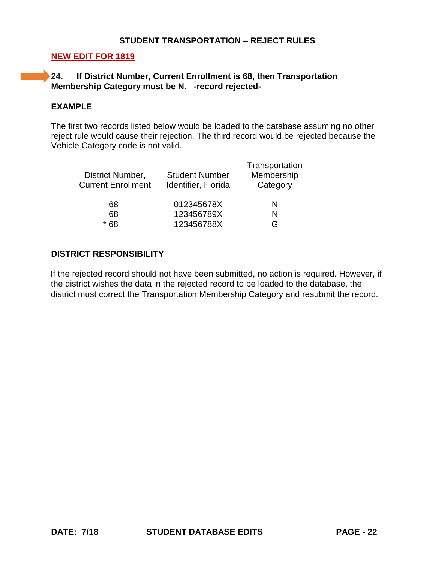## **NEW EDIT FOR 1819**

# **24. If District Number, Current Enrollment is 68, then Transportation Membership Category must be N. -record rejected-**

# **EXAMPLE**

The first two records listed below would be loaded to the database assuming no other reject rule would cause their rejection. The third record would be rejected because the Vehicle Category code is not valid.

| District Number,<br><b>Current Enrollment</b> | <b>Student Number</b><br>Identifier, Florida | Transportation<br>Membership<br>Category |
|-----------------------------------------------|----------------------------------------------|------------------------------------------|
| 68                                            | 012345678X                                   | N                                        |
| 68                                            | 123456789X                                   | N                                        |
| * 68                                          | 123456788X                                   | G                                        |
|                                               |                                              |                                          |

### **DISTRICT RESPONSIBILITY**

If the rejected record should not have been submitted, no action is required. However, if the district wishes the data in the rejected record to be loaded to the database, the district must correct the Transportation Membership Category and resubmit the record.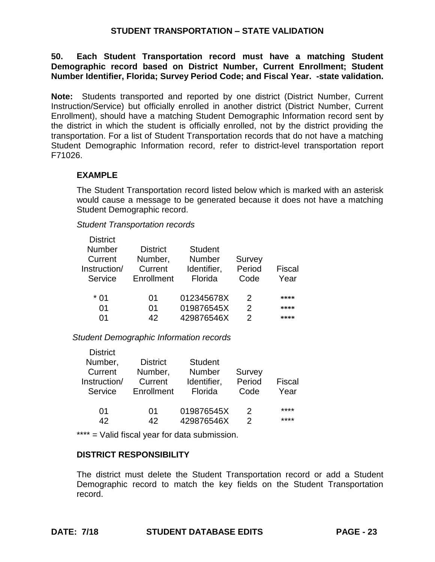# **STUDENT TRANSPORTATION – STATE VALIDATION**

**50. Each Student Transportation record must have a matching Student Demographic record based on District Number, Current Enrollment; Student Number Identifier, Florida; Survey Period Code; and Fiscal Year. -state validation.**

**Note:** Students transported and reported by one district (District Number, Current Instruction/Service) but officially enrolled in another district (District Number, Current Enrollment), should have a matching Student Demographic Information record sent by the district in which the student is officially enrolled, not by the district providing the transportation. For a list of Student Transportation records that do not have a matching Student Demographic Information record, refer to district-level transportation report F71026.

# **EXAMPLE**

District

The Student Transportation record listed below which is marked with an asterisk would cause a message to be generated because it does not have a matching Student Demographic record.

*Student Transportation records*

| <b>District</b> |                 |                |        |        |
|-----------------|-----------------|----------------|--------|--------|
| Number          | <b>District</b> | <b>Student</b> |        |        |
| Current         | Number,         | <b>Number</b>  | Survey |        |
| Instruction/    | Current         | Identifier,    | Period | Fiscal |
| Service         | Enrollment      | Florida        | Code   | Year   |
|                 |                 |                |        |        |
|                 | 01              | 012345678X     | 2      | ****   |
| 01              | 01              | 019876545X     | 2      | ****   |
| ሰ1              | 42              | 429876546X     | 2      | ****   |
|                 |                 |                |        |        |

*Student Demographic Information records*

| <b>DISTRICT</b> |                 |                |        |        |
|-----------------|-----------------|----------------|--------|--------|
| Number,         | <b>District</b> | <b>Student</b> |        |        |
| Current         | Number,         | <b>Number</b>  | Survey |        |
| Instruction/    | Current         | Identifier,    | Period | Fiscal |
| Service         | Enrollment      | Florida        | Code   | Year   |
|                 |                 |                |        |        |
| 01              | 01              | 019876545X     | 2      | ****   |
| 42              | 42              | 429876546X     | 2      | ****   |

\*\*\*\* = Valid fiscal year for data submission.

# **DISTRICT RESPONSIBILITY**

The district must delete the Student Transportation record or add a Student Demographic record to match the key fields on the Student Transportation record.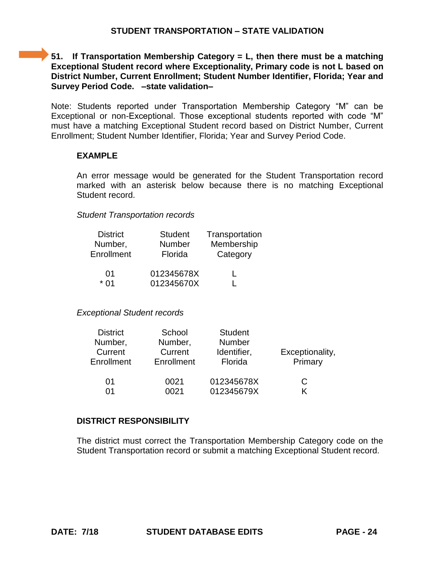# **51. If Transportation Membership Category = L, then there must be a matching Exceptional Student record where Exceptionality, Primary code is not L based on District Number, Current Enrollment; Student Number Identifier, Florida; Year and Survey Period Code. –state validation–**

Note: Students reported under Transportation Membership Category "M" can be Exceptional or non-Exceptional. Those exceptional students reported with code "M" must have a matching Exceptional Student record based on District Number, Current Enrollment; Student Number Identifier, Florida; Year and Survey Period Code.

# **EXAMPLE**

An error message would be generated for the Student Transportation record marked with an asterisk below because there is no matching Exceptional Student record.

# *Student Transportation records*

| <b>District</b> | <b>Student</b> | Transportation |
|-----------------|----------------|----------------|
| Number,         | Number         | Membership     |
| Enrollment      | Florida        | Category       |
| 01              | 012345678X     |                |
| * በ1            | 012345670X     |                |

# *Exceptional Student records*

| <b>District</b><br>Number,<br>Current<br>Enrollment | School<br>Number,<br>Current<br>Enrollment | <b>Student</b><br><b>Number</b><br>Identifier,<br>Florida | Exceptionality,<br>Primary |
|-----------------------------------------------------|--------------------------------------------|-----------------------------------------------------------|----------------------------|
| 01                                                  | 0021                                       | 012345678X                                                | С                          |
| በ1                                                  | 0021                                       | 012345679X                                                |                            |

# **DISTRICT RESPONSIBILITY**

The district must correct the Transportation Membership Category code on the Student Transportation record or submit a matching Exceptional Student record.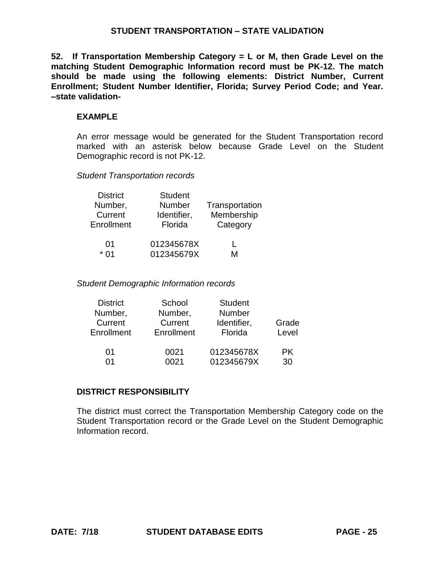# **STUDENT TRANSPORTATION – STATE VALIDATION**

**52. If Transportation Membership Category = L or M, then Grade Level on the matching Student Demographic Information record must be PK-12. The match should be made using the following elements: District Number, Current Enrollment; Student Number Identifier, Florida; Survey Period Code; and Year. –state validation-**

# **EXAMPLE**

An error message would be generated for the Student Transportation record marked with an asterisk below because Grade Level on the Student Demographic record is not PK-12.

*Student Transportation records*

| <b>District</b> | <b>Student</b> |                |
|-----------------|----------------|----------------|
| Number,         | Number         | Transportation |
| Current         | Identifier,    | Membership     |
| Enrollment      | Florida        | Category       |
| 01              | 012345678X     |                |
| * በ1            | 012345679X     | M              |

*Student Demographic Information records*

| <b>District</b> | School     | <b>Student</b> |       |
|-----------------|------------|----------------|-------|
| Number,         | Number,    | <b>Number</b>  |       |
| Current         | Current    | Identifier,    | Grade |
| Enrollment      | Enrollment | Florida        | Level |
| 01              | 0021       | 012345678X     | PK.   |
| ሰ1              | 0021       | 012345679X     | 30    |
|                 |            |                |       |

# **DISTRICT RESPONSIBILITY**

The district must correct the Transportation Membership Category code on the Student Transportation record or the Grade Level on the Student Demographic Information record.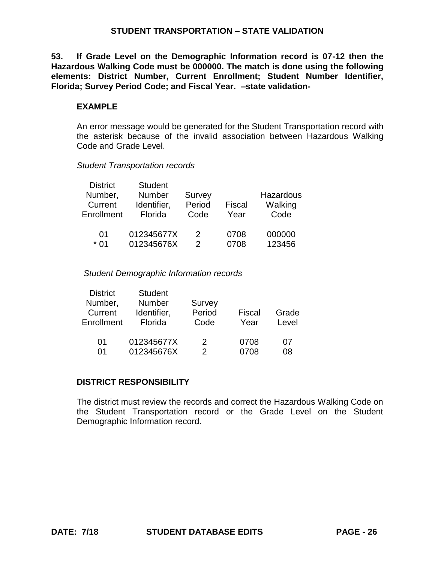## **STUDENT TRANSPORTATION – STATE VALIDATION**

**53. If Grade Level on the Demographic Information record is 07-12 then the Hazardous Walking Code must be 000000. The match is done using the following elements: District Number, Current Enrollment; Student Number Identifier, Florida; Survey Period Code; and Fiscal Year. –state validation-**

### **EXAMPLE**

An error message would be generated for the Student Transportation record with the asterisk because of the invalid association between Hazardous Walking Code and Grade Level.

#### *Student Transportation records*

| <b>District</b><br>Number,<br>Current<br>Enrollment | <b>Student</b><br>Number<br>Identifier,<br>Florida | <b>Survey</b><br>Period<br>Code | <b>Fiscal</b><br>Year | Hazardous<br>Walking<br>Code |
|-----------------------------------------------------|----------------------------------------------------|---------------------------------|-----------------------|------------------------------|
| 01                                                  | 012345677X                                         | 2                               | 0708                  | 000000                       |
| * በ1                                                | 012345676X                                         | 2                               | 0708                  | 123456                       |

### *Student Demographic Information records*

| <b>District</b> | <b>Student</b> |        |        |       |
|-----------------|----------------|--------|--------|-------|
| Number,         | <b>Number</b>  | Survey |        |       |
| Current         | Identifier,    | Period | Fiscal | Grade |
| Enrollment      | Florida        | Code   | Year   | Level |
|                 |                |        |        |       |
| 01              | 012345677X     | 2      | 0708   | 07    |
| 01              | 012345676X     | 2      | 0708   | 08    |

# **DISTRICT RESPONSIBILITY**

The district must review the records and correct the Hazardous Walking Code on the Student Transportation record or the Grade Level on the Student Demographic Information record.